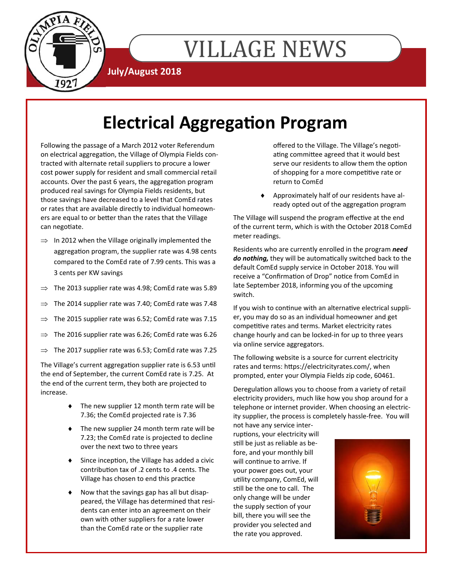

# **VILLAGE NEWS**

**July/August 2018** 

## **Electrical Aggregation Program**

Following the passage of a March 2012 voter Referendum on electrical aggregation, the Village of Olympia Fields contracted with alternate retail suppliers to procure a lower cost power supply for resident and small commercial retail accounts. Over the past 6 years, the aggregation program produced real savings for Olympia Fields residents, but those savings have decreased to a level that ComEd rates or rates that are available directly to individual homeowners are equal to or better than the rates that the Village can negotiate.

- $\implies$  In 2012 when the Village originally implemented the aggregation program, the supplier rate was 4.98 cents compared to the ComEd rate of 7.99 cents. This was a 3 cents per KW savings
- $\Rightarrow$  The 2013 supplier rate was 4.98; ComEd rate was 5.89
- $\Rightarrow$  The 2014 supplier rate was 7.40; ComEd rate was 7.48
- $\Rightarrow$  The 2015 supplier rate was 6.52; ComEd rate was 7.15
- $\Rightarrow$  The 2016 supplier rate was 6.26; ComEd rate was 6.26
- $\Rightarrow$  The 2017 supplier rate was 6.53; ComEd rate was 7.25

The Village's current aggregation supplier rate is 6.53 until the end of September, the current ComEd rate is 7.25. At the end of the current term, they both are projected to increase.

- ◆ The new supplier 12 month term rate will be 7.36; the ComEd projected rate is 7.36
- ◆ The new supplier 24 month term rate will be 7.23; the ComEd rate is projected to decline over the next two to three years
- $\bullet$  Since inception, the Village has added a civic contribuƟon tax of .2 cents to .4 cents. The Village has chosen to end this practice
- Now that the savings gap has all but disappeared, the Village has determined that residents can enter into an agreement on their own with other suppliers for a rate lower than the ComEd rate or the supplier rate

offered to the Village. The Village's negotiating committee agreed that it would best serve our residents to allow them the option of shopping for a more competitive rate or return to ComEd

 Approximately half of our residents have already opted out of the aggregation program

The Village will suspend the program effective at the end of the current term, which is with the October 2018 ComEd meter readings.

Residents who are currently enrolled in the program *need*  do nothing, they will be automatically switched back to the default ComEd supply service in October 2018. You will receive a "Confirmation of Drop" notice from ComEd in late September 2018, informing you of the upcoming switch.

If you wish to continue with an alternative electrical supplier, you may do so as an individual homeowner and get competitive rates and terms. Market electricity rates change hourly and can be locked-in for up to three years via online service aggregators.

The following website is a source for current electricity rates and terms: https://electricityrates.com/, when prompted, enter your Olympia Fields zip code, 60461.

Deregulation allows you to choose from a variety of retail electricity providers, much like how you shop around for a telephone or internet provider. When choosing an electricity supplier, the process is completely hassle-free. You will

not have any service interruptions, your electricity will still be just as reliable as before, and your monthly bill will continue to arrive. If your power goes out, your utility company, ComEd, will still be the one to call. The only change will be under the supply section of your bill, there you will see the provider you selected and the rate you approved.

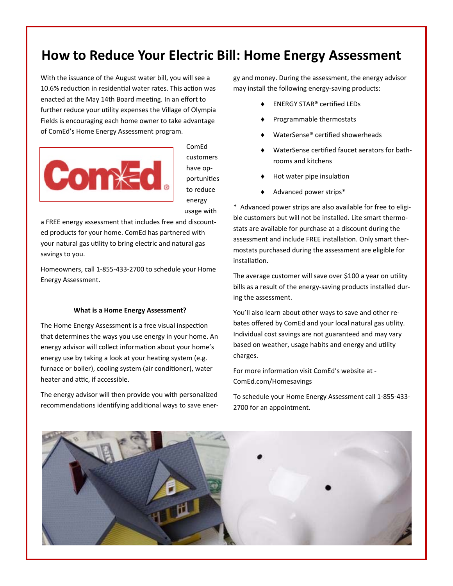#### **How to Reduce Your Electric Bill: Home Energy Assessment**

With the issuance of the August water bill, you will see a 10.6% reduction in residential water rates. This action was enacted at the May 14th Board meeting. In an effort to further reduce your utility expenses the Village of Olympia Fields is encouraging each home owner to take advantage of ComEd's Home Energy Assessment program.



ComEd customers have opportuniƟes to reduce energy usage with

a FREE energy assessment that includes free and discounted products for your home. ComEd has partnered with your natural gas utility to bring electric and natural gas savings to you.

Homeowners, call 1-855-433-2700 to schedule your Home Energy Assessment.

#### **What is a Home Energy Assessment?**

The Home Energy Assessment is a free visual inspection that determines the ways you use energy in your home. An energy advisor will collect information about your home's energy use by taking a look at your heating system (e.g. furnace or boiler), cooling system (air conditioner), water heater and attic, if accessible.

The energy advisor will then provide you with personalized recommendations identifying additional ways to save energy and money. During the assessment, the energy advisor may install the following energy-saving products:

- ENERGY STAR® cerƟfied LEDs
- Programmable thermostats
- WaterSense® certified showerheads
- WaterSense certified faucet aerators for bathrooms and kitchens
- Hot water pipe insulation
- Advanced power strips\*

\* Advanced power strips are also available for free to eligible customers but will not be installed. Lite smart thermostats are available for purchase at a discount during the assessment and include FREE installation. Only smart thermostats purchased during the assessment are eligible for installation.

The average customer will save over \$100 a year on utility bills as a result of the energy-saving products installed during the assessment.

You'll also learn about other ways to save and other rebates offered by ComEd and your local natural gas utility. Individual cost savings are not guaranteed and may vary based on weather, usage habits and energy and utility charges.

For more information visit ComEd's website at -ComEd.com/Homesavings

To schedule your Home Energy Assessment call 1-855-433- 2700 for an appointment.

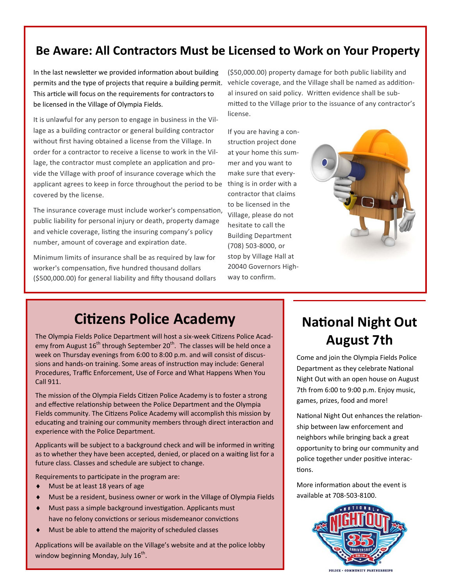#### **Be Aware: All Contractors Must be Licensed to Work on Your Property**

In the last newsletter we provided information about building permits and the type of projects that require a building permit. This article will focus on the requirements for contractors to be licensed in the Village of Olympia Fields.

It is unlawful for any person to engage in business in the Village as a building contractor or general building contractor without first having obtained a license from the Village. In order for a contractor to receive a license to work in the Village, the contractor must complete an application and provide the Village with proof of insurance coverage which the applicant agrees to keep in force throughout the period to be covered by the license.

The insurance coverage must include worker's compensation, public liability for personal injury or death, property damage and vehicle coverage, listing the insuring company's policy number, amount of coverage and expiration date.

Minimum limits of insurance shall be as required by law for worker's compensation, five hundred thousand dollars  $(5500,000.00)$  for general liability and fifty thousand dollars

(\$50,000.00) property damage for both public liability and vehicle coverage, and the Village shall be named as additional insured on said policy. Written evidence shall be submitted to the Village prior to the issuance of any contractor's license.

If you are having a construction project done at your home this summer and you want to make sure that everything is in order with a contractor that claims to be licensed in the Village, please do not hesitate to call the Building Department (708) 503-8000, or stop by Village Hall at 20040 Governors Highway to confirm.



#### **Citizens Police Academy**

The Olympia Fields Police Department will host a six-week Citizens Police Academy from August  $16^{th}$  through September  $20^{th}$ . The classes will be held once a week on Thursday evenings from 6:00 to 8:00 p.m. and will consist of discussions and hands-on training. Some areas of instruction may include: General Procedures, Traffic Enforcement, Use of Force and What Happens When You Call 911.

The mission of the Olympia Fields Citizen Police Academy is to foster a strong and effective relationship between the Police Department and the Olympia Fields community. The Citizens Police Academy will accomplish this mission by educating and training our community members through direct interaction and experience with the Police Department.

Applicants will be subject to a background check and will be informed in writing as to whether they have been accepted, denied, or placed on a waiting list for a future class. Classes and schedule are subject to change.

Requirements to participate in the program are:

- Must be at least 18 years of age
- Must be a resident, business owner or work in the Village of Olympia Fields
- Must pass a simple background investigation. Applicants must have no felony convictions or serious misdemeanor convictions
- Must be able to attend the majority of scheduled classes

Applications will be available on the Village's website and at the police lobby window beginning Monday, July  $16<sup>th</sup>$ .

### **National Night Out August 7th**

Come and join the Olympia Fields Police Department as they celebrate National Night Out with an open house on August 7th from 6:00 to 9:00 p.m. Enjoy music, games, prizes, food and more!

National Night Out enhances the relationship between law enforcement and neighbors while bringing back a great opportunity to bring our community and police together under positive interactions.

More information about the event is available at 708-503-8100.